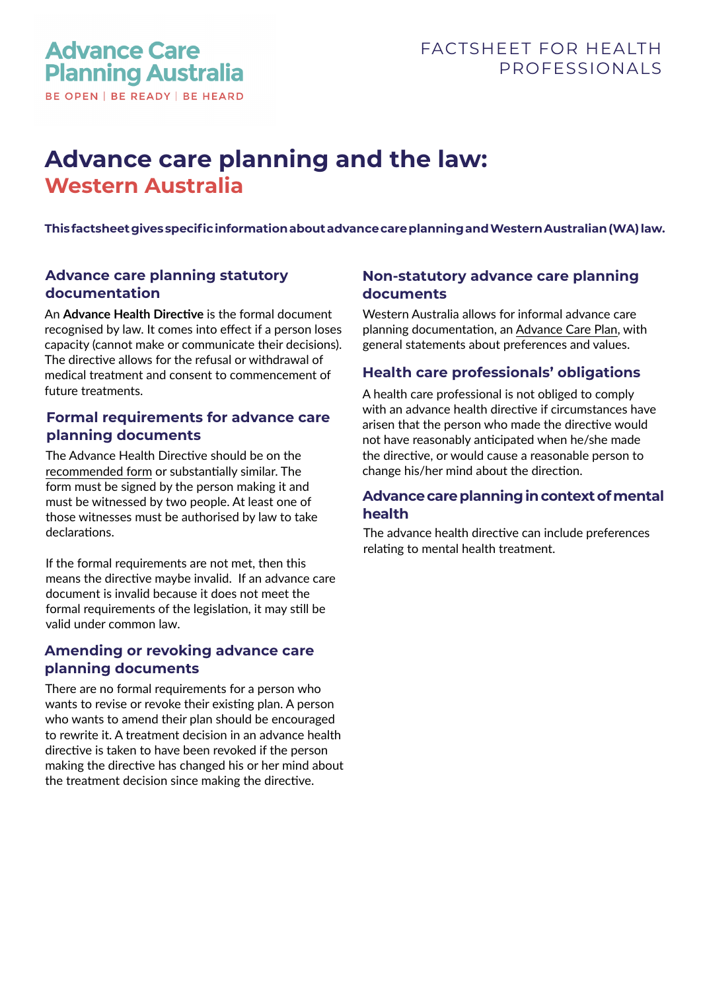# **Advance care planning and the law: Western Australia**

**This factsheet gives specific information about advance care planning and Western Australian (WA) law.** 

# **Advance care planning statutory documentation**

An **Advance Health Directive** is the formal document recognised by law. It comes into effect if a person loses capacity (cannot make or communicate their decisions). The directive allows for the refusal or withdrawal of medical treatment and consent to commencement of future treatments.

## **Formal requirements for advance care planning documents**

The Advance Health Directive should be on the [recommended form](https://www.advancecareplanning.org.au/resources/advance-care-planning-in-my-state) or substantially similar. The form must be signed by the person making it and must be witnessed by two people. At least one of those witnesses must be authorised by law to take declarations.

If the formal requirements are not met, then this means the directive maybe invalid. If an advance care document is invalid because it does not meet the formal requirements of the legislation, it may still be valid under common law.

# **Amending or revoking advance care planning documents**

There are no formal requirements for a person who wants to revise or revoke their existing plan. A person who wants to amend their plan should be encouraged to rewrite it. A treatment decision in an advance health directive is taken to have been revoked if the person making the directive has changed his or her mind about the treatment decision since making the directive.

## **Non-statutory advance care planning documents**

Western Australia allows for informal advance care planning documentation, an [Advance Care Plan](https://www.advancecareplanning.org.au/resources/advance-care-planning-in-my-state), with general statements about preferences and values.

## **Health care professionals' obligations**

A health care professional is not obliged to comply with an advance health directive if circumstances have arisen that the person who made the directive would not have reasonably anticipated when he/she made the directive, or would cause a reasonable person to change his/her mind about the direction.

#### **Advance care planning in context of mental health**

The advance health directive can include preferences relating to mental health treatment.